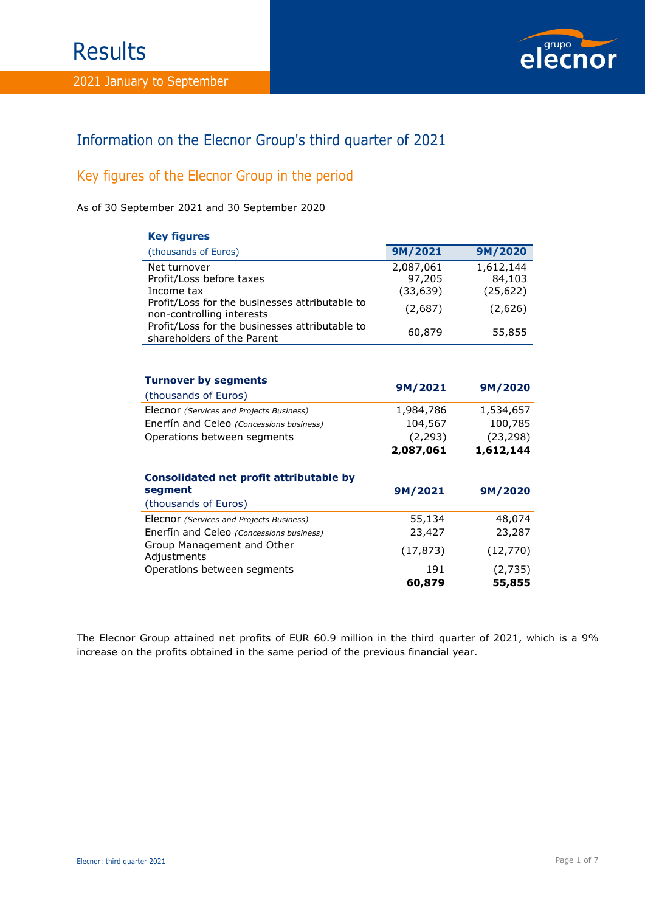

# Information on the Elecnor Group's third quarter of 2021

# Key figures of the Elecnor Group in the period

As of 30 September 2021 and 30 September 2020

| <b>Key figures</b>                                                           |           |           |
|------------------------------------------------------------------------------|-----------|-----------|
| (thousands of Euros)                                                         | 9M/2021   | 9M/2020   |
| Net turnover                                                                 | 2,087,061 | 1,612,144 |
| Profit/Loss before taxes                                                     | 97,205    | 84,103    |
| Income tax                                                                   | (33, 639) | (25, 622) |
| Profit/Loss for the businesses attributable to<br>non-controlling interests  | (2,687)   | (2,626)   |
| Profit/Loss for the businesses attributable to<br>shareholders of the Parent | 60,879    | 55,855    |
|                                                                              |           |           |
| <b>Turnover by segments</b>                                                  |           |           |
| (thousands of Euros)                                                         | 9M/2021   | 9M/2020   |
| Elecnor (Services and Projects Business)                                     | 1,984,786 | 1,534,657 |
| Enerfín and Celeo (Concessions business)                                     | 104,567   | 100,785   |
| Operations between segments                                                  | (2, 293)  | (23, 298) |
|                                                                              | 2,087,061 | 1,612,144 |
| Consolidated net profit attributable by                                      |           |           |
| segment                                                                      | 9M/2021   | 9M/2020   |
| (thousands of Euros)                                                         |           |           |
| Elecnor (Services and Projects Business)                                     | 55,134    | 48,074    |
| Enerfín and Celeo (Concessions business)<br>Group Management and Other       | 23,427    | 23,287    |
| Adjustments                                                                  | (17, 873) | (12, 770) |
| Operations between segments                                                  | 191       | (2,735)   |
|                                                                              | 60,879    | 55,855    |

The Elecnor Group attained net profits of EUR 60.9 million in the third quarter of 2021, which is a 9% increase on the profits obtained in the same period of the previous financial year.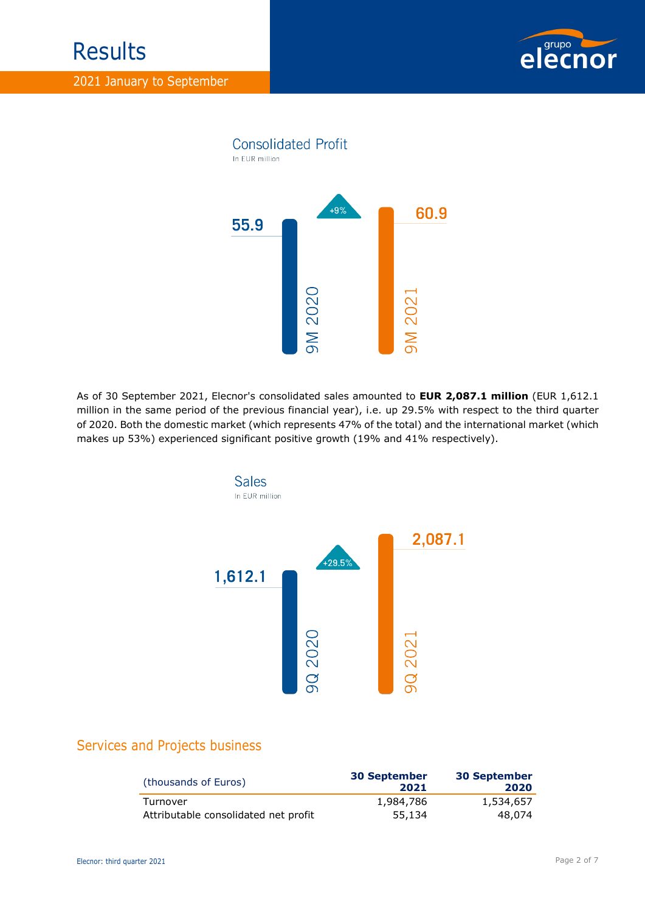



As of 30 September 2021, Elecnor's consolidated sales amounted to **EUR 2,087.1 million** (EUR 1,612.1 million in the same period of the previous financial year), i.e. up 29.5% with respect to the third quarter of 2020. Both the domestic market (which represents 47% of the total) and the international market (which makes up 53%) experienced significant positive growth (19% and 41% respectively).



# Services and Projects business

| (thousands of Euros)                 | <b>30 September</b><br>2021 | <b>30 September</b><br>2020 |
|--------------------------------------|-----------------------------|-----------------------------|
| Turnover                             | 1,984,786                   | 1,534,657                   |
| Attributable consolidated net profit | 55,134                      | 48,074                      |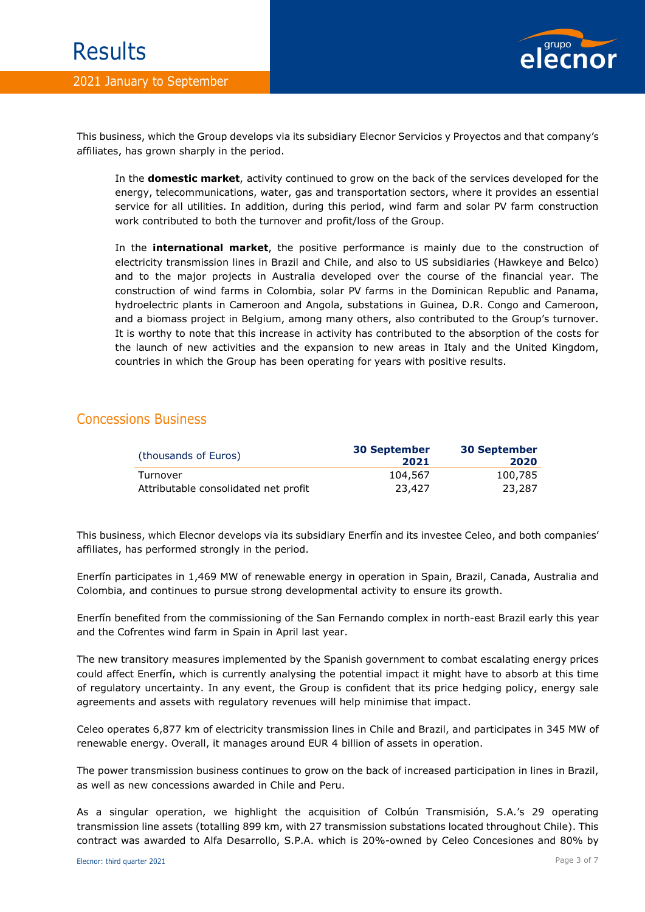## 2021 January to September



This business, which the Group develops via its subsidiary Elecnor Servicios y Proyectos and that company's affiliates, has grown sharply in the period.

In the **domestic market**, activity continued to grow on the back of the services developed for the energy, telecommunications, water, gas and transportation sectors, where it provides an essential service for all utilities. In addition, during this period, wind farm and solar PV farm construction work contributed to both the turnover and profit/loss of the Group.

In the **international market**, the positive performance is mainly due to the construction of electricity transmission lines in Brazil and Chile, and also to US subsidiaries (Hawkeye and Belco) and to the major projects in Australia developed over the course of the financial year. The construction of wind farms in Colombia, solar PV farms in the Dominican Republic and Panama, hydroelectric plants in Cameroon and Angola, substations in Guinea, D.R. Congo and Cameroon, and a biomass project in Belgium, among many others, also contributed to the Group's turnover. It is worthy to note that this increase in activity has contributed to the absorption of the costs for the launch of new activities and the expansion to new areas in Italy and the United Kingdom, countries in which the Group has been operating for years with positive results.

## Concessions Business

| (thousands of Euros)                 | <b>30 September</b><br>2021 | <b>30 September</b><br>2020 |
|--------------------------------------|-----------------------------|-----------------------------|
| Turnover                             | 104,567                     | 100,785                     |
| Attributable consolidated net profit | 23,427                      | 23,287                      |

This business, which Elecnor develops via its subsidiary Enerfín and its investee Celeo, and both companies' affiliates, has performed strongly in the period.

Enerfín participates in 1,469 MW of renewable energy in operation in Spain, Brazil, Canada, Australia and Colombia, and continues to pursue strong developmental activity to ensure its growth.

Enerfín benefited from the commissioning of the San Fernando complex in north-east Brazil early this year and the Cofrentes wind farm in Spain in April last year.

The new transitory measures implemented by the Spanish government to combat escalating energy prices could affect Enerfín, which is currently analysing the potential impact it might have to absorb at this time of regulatory uncertainty. In any event, the Group is confident that its price hedging policy, energy sale agreements and assets with regulatory revenues will help minimise that impact.

Celeo operates 6,877 km of electricity transmission lines in Chile and Brazil, and participates in 345 MW of renewable energy. Overall, it manages around EUR 4 billion of assets in operation.

The power transmission business continues to grow on the back of increased participation in lines in Brazil, as well as new concessions awarded in Chile and Peru.

As a singular operation, we highlight the acquisition of Colbún Transmisión, S.A.'s 29 operating transmission line assets (totalling 899 km, with 27 transmission substations located throughout Chile). This contract was awarded to Alfa Desarrollo, S.P.A. which is 20%-owned by Celeo Concesiones and 80% by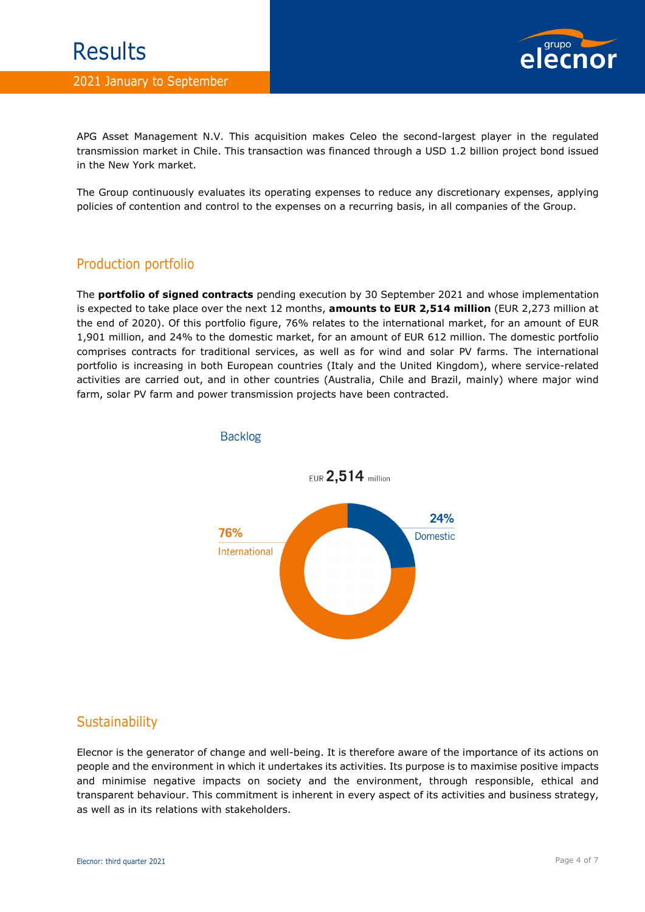

APG Asset Management N.V. This acquisition makes Celeo the second-largest player in the regulated transmission market in Chile. This transaction was financed through a USD 1.2 billion project bond issued in the New York market.

The Group continuously evaluates its operating expenses to reduce any discretionary expenses, applying policies of contention and control to the expenses on a recurring basis, in all companies of the Group.

# Production portfolio

The **portfolio of signed contracts** pending execution by 30 September 2021 and whose implementation is expected to take place over the next 12 months, **amounts to EUR 2,514 million** (EUR 2,273 million at the end of 2020). Of this portfolio figure, 76% relates to the international market, for an amount of EUR 1,901 million, and 24% to the domestic market, for an amount of EUR 612 million. The domestic portfolio comprises contracts for traditional services, as well as for wind and solar PV farms. The international portfolio is increasing in both European countries (Italy and the United Kingdom), where service-related activities are carried out, and in other countries (Australia, Chile and Brazil, mainly) where major wind farm, solar PV farm and power transmission projects have been contracted.



### **Backlog**

# **Sustainability**

Elecnor is the generator of change and well-being. It is therefore aware of the importance of its actions on people and the environment in which it undertakes its activities. Its purpose is to maximise positive impacts and minimise negative impacts on society and the environment, through responsible, ethical and transparent behaviour. This commitment is inherent in every aspect of its activities and business strategy, as well as in its relations with stakeholders.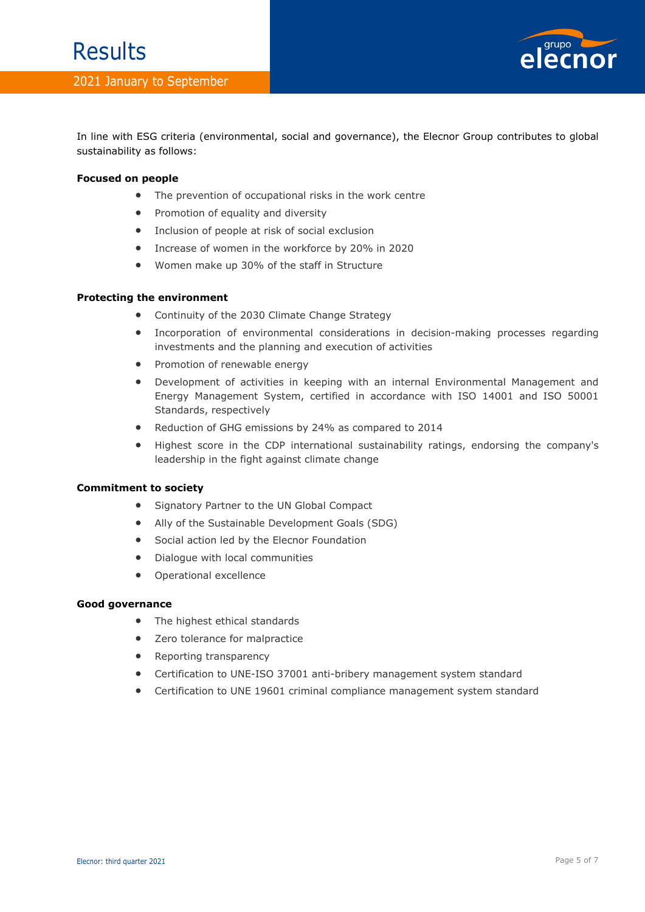

In line with ESG criteria (environmental, social and governance), the Elecnor Group contributes to global sustainability as follows:

#### **Focused on people**

- The prevention of occupational risks in the work centre
- Promotion of equality and diversity
- Inclusion of people at risk of social exclusion
- Increase of women in the workforce by 20% in 2020
- Women make up 30% of the staff in Structure

#### **Protecting the environment**

- Continuity of the 2030 Climate Change Strategy
- Incorporation of environmental considerations in decision-making processes regarding investments and the planning and execution of activities
- Promotion of renewable energy
- Development of activities in keeping with an internal Environmental Management and Energy Management System, certified in accordance with ISO 14001 and ISO 50001 Standards, respectively
- Reduction of GHG emissions by 24% as compared to 2014
- Highest score in the CDP international sustainability ratings, endorsing the company's leadership in the fight against climate change

#### **Commitment to society**

- Signatory Partner to the UN Global Compact
- Ally of the Sustainable Development Goals (SDG)
- Social action led by the Elecnor Foundation
- Dialogue with local communities
- Operational excellence

#### **Good governance**

- The highest ethical standards
- Zero tolerance for malpractice
- Reporting transparency
- Certification to UNE-ISO 37001 anti-bribery management system standard
- Certification to UNE 19601 criminal compliance management system standard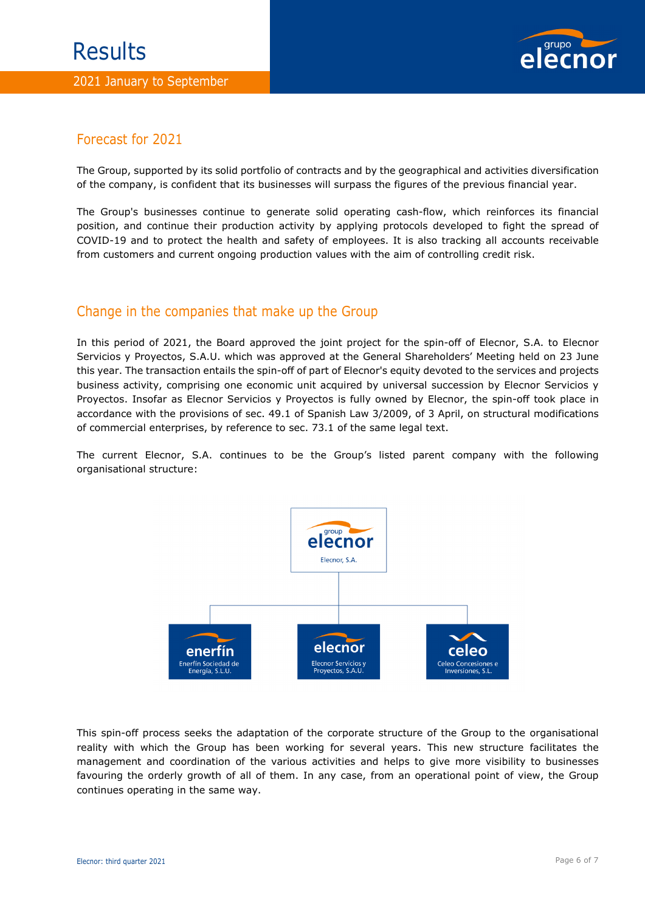

# Forecast for 2021

The Group, supported by its solid portfolio of contracts and by the geographical and activities diversification of the company, is confident that its businesses will surpass the figures of the previous financial year.

The Group's businesses continue to generate solid operating cash-flow, which reinforces its financial position, and continue their production activity by applying protocols developed to fight the spread of COVID-19 and to protect the health and safety of employees. It is also tracking all accounts receivable from customers and current ongoing production values with the aim of controlling credit risk.

# Change in the companies that make up the Group

In this period of 2021, the Board approved the joint project for the spin-off of Elecnor, S.A. to Elecnor Servicios y Proyectos, S.A.U. which was approved at the General Shareholders' Meeting held on 23 June this year. The transaction entails the spin-off of part of Elecnor's equity devoted to the services and projects business activity, comprising one economic unit acquired by universal succession by Elecnor Servicios y Proyectos. Insofar as Elecnor Servicios y Proyectos is fully owned by Elecnor, the spin-off took place in accordance with the provisions of sec. 49.1 of Spanish Law 3/2009, of 3 April, on structural modifications of commercial enterprises, by reference to sec. 73.1 of the same legal text.

The current Elecnor, S.A. continues to be the Group's listed parent company with the following organisational structure:



This spin-off process seeks the adaptation of the corporate structure of the Group to the organisational reality with which the Group has been working for several years. This new structure facilitates the management and coordination of the various activities and helps to give more visibility to businesses favouring the orderly growth of all of them. In any case, from an operational point of view, the Group continues operating in the same way.